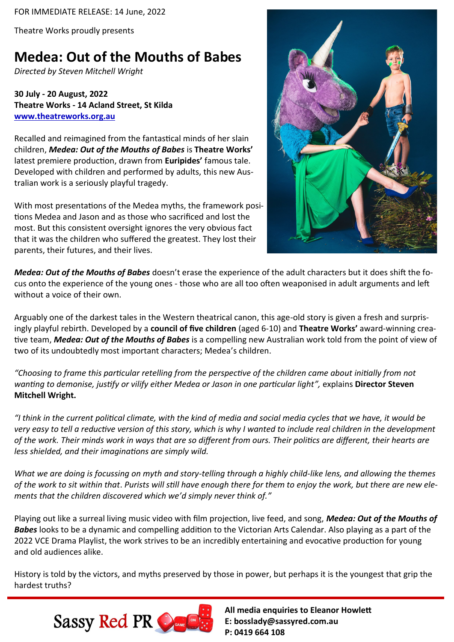FOR IMMEDIATE RELEASE: 14 June, 2022

Theatre Works proudly presents

## **Medea: Out of the Mouths of Babes**

*Directed by Steven Mitchell Wright*

**30 July - 20 August, 2022 Theatre Works - 14 Acland Street, St Kilda [www.theatreworks.org.au](https://www.theatreworks.org.au/program/medea%3A-out-of-the-mouths-of-babes)**

Recalled and reimagined from the fantastical minds of her slain children, *Medea: Out of the Mouths of Babes* is **Theatre Works'**  latest premiere production, drawn from **Euripides'** famous tale. Developed with children and performed by adults, this new Australian work is a seriously playful tragedy.

With most presentations of the Medea myths, the framework positions Medea and Jason and as those who sacrificed and lost the most. But this consistent oversight ignores the very obvious fact that it was the children who suffered the greatest. They lost their parents, their futures, and their lives.



*Medea: Out of the Mouths of Babes* doesn't erase the experience of the adult characters but it does shift the focus onto the experience of the young ones - those who are all too often weaponised in adult arguments and left without a voice of their own.

Arguably one of the darkest tales in the Western theatrical canon, this age-old story is given a fresh and surprisingly playful rebirth. Developed by a **council of five children** (aged 6-10) and **Theatre Works'** award-winning creative team, *Medea: Out of the Mouths of Babes* is a compelling new Australian work told from the point of view of two of its undoubtedly most important characters; Medea's children.

*"Choosing to frame this particular retelling from the perspective of the children came about initially from not wanting to demonise, justify or vilify either Medea or Jason in one particular light",* explains **Director Steven Mitchell Wright.** 

*"I think in the current political climate, with the kind of media and social media cycles that we have, it would be very easy to tell a reductive version of this story, which is why I wanted to include real children in the development of the work. Their minds work in ways that are so different from ours. Their politics are different, their hearts are less shielded, and their imaginations are simply wild.* 

*What we are doing is focussing on myth and story-telling through a highly child-like lens, and allowing the themes of the work to sit within that*. *Purists will still have enough there for them to enjoy the work, but there are new elements that the children discovered which we'd simply never think of."* 

Playing out like a surreal living music video with film projection, live feed, and song, *Medea: Out of the Mouths of Babes* looks to be a dynamic and compelling addition to the Victorian Arts Calendar. Also playing as a part of the 2022 VCE Drama Playlist, the work strives to be an incredibly entertaining and evocative production for young and old audiences alike.

History is told by the victors, and myths preserved by those in power, but perhaps it is the youngest that grip the hardest truths?



**All media enquiries to Eleanor Howlett E: bosslady@sassyred.com.au P: 0419 664 108**